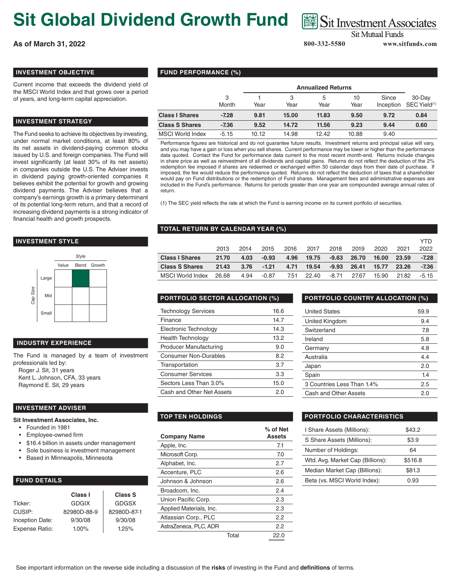# **Sit Global Dividend Growth Fund**

**As of March 31, 2022 800-332-5580 www.sitfunds.com**

## Sit Investment Associates

**Sit Mutual Funds** 

#### **INVESTMENT OBJECTIVE**

Current income that exceeds the dividend yield of the MSCI World Index and that grows over a period of years, and long-term capital appreciation.

#### **INVESTMENT STRATEGY**

The Fund seeks to achieve its objectives by investing, under normal market conditions, at least 80% of its net assets in dividend-paying common stocks issued by U.S. and foreign companies. The Fund will invest significantly (at least 30% of its net assets) in companies outside the U.S. The Adviser invests in dividend paying growth-oriented companies it believes exhibit the potential for growth and growing dividend payments. The Adviser believes that a company's earnings growth is a primary determinant of its potential long-term return, and that a record of increasing dividend payments is a strong indicator of financial health and growth prospects.

#### **INVESTMENT STYLE**



#### **INDUSTRY EXPERIENCE**

The Fund is managed by a team of investment professionals led by:

Roger J. Sit, 31 years Kent L. Johnson, CFA, 33 years Raymond E. Sit, 29 years

#### **INVESTMENT ADVISER**

#### **Sit Investment Associates, Inc.**

- Founded in 1981
- Employee-owned firm
- \$16.4 billion in assets under management
- Sole business is investment management
- Based in Minneapolis, Minnesota

### **FUND DETAILS**

|                        | Class I      | <b>Class S</b> |
|------------------------|--------------|----------------|
| Ticker:                | <b>GDGIX</b> | <b>GDGSX</b>   |
| CUSIP:                 | 82980D-88-9  | 82980D-87-1    |
| <b>Inception Date:</b> | 9/30/08      | 9/30/08        |
| <b>Expense Ratio:</b>  | 1.00%        | 1.25%          |

#### **FUND PERFORMANCE (%)**

|                         |            | <b>Annualized Returns</b> |           |           |            |                    |                                    |
|-------------------------|------------|---------------------------|-----------|-----------|------------|--------------------|------------------------------------|
|                         | 3<br>Month | Year                      | 3<br>Year | 5<br>Year | 10<br>Year | Since<br>Inception | 30-Day<br>SEC Yield <sup>(1)</sup> |
| <b>Class I Shares</b>   | $-7.28$    | 9.81                      | 15.00     | 11.83     | 9.50       | 9.72               | 0.84                               |
| <b>Class S Shares</b>   | $-7.36$    | 9.52                      | 14.72     | 11.56     | 9.23       | 9.44               | 0.60                               |
| <b>MSCI World Index</b> | $-5.15$    | 10.12                     | 14.98     | 12.42     | 10.88      | 9.40               |                                    |

Performance figures are historical and do not guarantee future results. Investment returns and principal value will vary, and you may have a gain or loss when you sell shares. Current performance may be lower or higher than the performance data quoted. Contact the Fund for performance data current to the most recent month-end. Returns include changes in share price as well as reinvestment of all dividends and capital gains. Returns do not reflect the deduction of the 2% redemption fee imposed if shares are redeemed or exchanged within 30 calendar days from their date of purchase. If imposed, the fee would reduce the performance quoted. Returns do not reflect the deduction of taxes that a shareholder would pay on Fund distributions or the redemption of Fund shares. Management fees and administrative expenses are included in the Fund's performance. Returns for periods greater than one year are compounded average annual rates of return.

(1) The SEC yield reflects the rate at which the Fund is earning income on its current portfolio of securities.

#### **TOTAL RETURN BY CALENDAR YEAR (%)**

|                       |       |      |         |      |       |         |       |       |       | YTD     |
|-----------------------|-------|------|---------|------|-------|---------|-------|-------|-------|---------|
|                       | 2013  | 2014 | 2015    | 2016 | 2017  | 2018    | 2019  | 2020  | 2021  | 2022    |
| <b>Class I Shares</b> | 21.70 | 4.03 | $-0.93$ | 4.96 | 19.75 | -9.63   | 26.70 | 16.00 | 23.59 | $-7.28$ |
| <b>Class S Shares</b> | 21.43 | 3.76 | $-1.21$ | 4.71 | 19.54 | $-9.93$ | 26.41 | 15.77 | 23.26 | $-7.36$ |
| MSCI World Index      | 26.68 | 4.94 | $-0.87$ | 7.51 | 22.40 | $-8.71$ | 27.67 | 15.90 | 21.82 | $-5.15$ |

| <b>PORTFOLIO SECTOR ALLOCATION (%)</b> |      |  |  |  |
|----------------------------------------|------|--|--|--|
| <b>Technology Services</b>             | 16.6 |  |  |  |
| Finance                                | 14.7 |  |  |  |
| Electronic Technology                  | 14.3 |  |  |  |
| Health Technology                      | 13.2 |  |  |  |
| <b>Producer Manufacturing</b>          | 9.0  |  |  |  |
| <b>Consumer Non-Durables</b>           | 8.2  |  |  |  |
| Transportation                         | 3.7  |  |  |  |
| <b>Consumer Services</b>               | 3.3  |  |  |  |
| Sectors Less Than 3.0%                 | 15.0 |  |  |  |
| Cash and Other Net Assets              | 2.0  |  |  |  |

| <b>Company Name</b>     |       | % of Net<br>Assets |
|-------------------------|-------|--------------------|
| Apple, Inc.             |       | 7.1                |
| Microsoft Corp.         |       | 7.0                |
| Alphabet, Inc.          |       | 2.7                |
| Accenture, PLC          |       | 2.6                |
| Johnson & Johnson       |       | 2.6                |
| Broadcom, Inc.          |       | 2.4                |
| Union Pacific Corp.     |       | 2.3                |
| Applied Materials, Inc. |       | 2.3                |
| Atlassian Corp., PLC    |       | 2.2                |
| AstraZeneca, PLC, ADR   |       | 2.2                |
|                         | Total | 22.0               |

#### **PORTFOLIO SECTOR ALLOCATION (%) PORTFOLIO COUNTRY ALLOCATION (%)**

| <b>United States</b>       | 59.9 |
|----------------------------|------|
| United Kingdom             | 9.4  |
| Switzerland                | 7.8  |
| Ireland                    | 5.8  |
| Germany                    | 4.8  |
| Australia                  | 4.4  |
| Japan                      | 2.0  |
| Spain                      | 1.4  |
| 3 Countries Less Than 1.4% | 2.5  |
| Cash and Other Assets      | 2.0  |
|                            |      |

#### **TOP TEN HOLDINGS PORTFOLIO CHARACTERISTICS**

| I Share Assets (Millions):       | \$43.2  |
|----------------------------------|---------|
| S Share Assets (Millions):       | \$3.9   |
| Number of Holdings:              | 64      |
| Wtd. Avg. Market Cap (Billions): | \$516.8 |
| Median Market Cap (Billions):    | \$81.3  |
| Beta (vs. MSCI World Index):     | 0.93    |